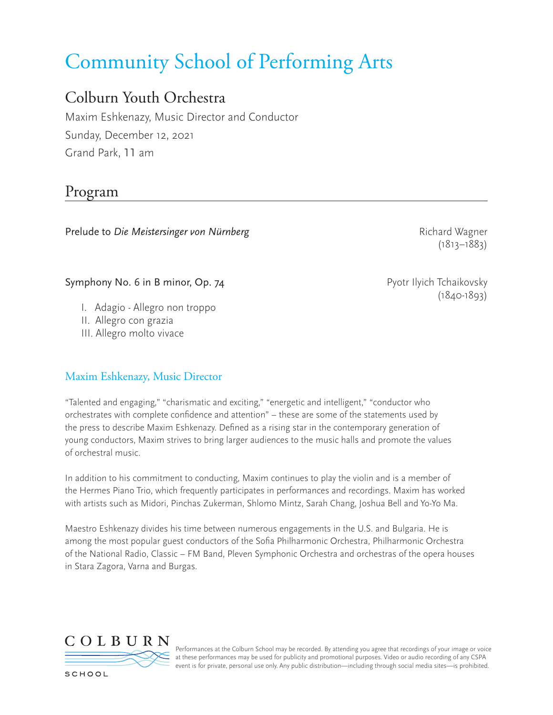# Community School of Performing Arts

# Colburn Youth Orchestra

Maxim Eshkenazy, Music Director and Conductor Sunday, December 12, 2021 Grand Park, 11 am

# Program

Prelude to *Die Meistersinger von Nürnberg* and and and the Richard Wagner Richard Wagner

(1813–1883)

(1840-1893)

# Symphony No. 6 in B minor, Op. 74 Pyotr Ilyich Tchaikovsky

- I. Adagio Allegro non troppo
- II. Allegro con grazia
- III. Allegro molto vivace

# Maxim Eshkenazy, Music Director

"Talented and engaging," "charismatic and exciting," "energetic and intelligent," "conductor who orchestrates with complete confidence and attention" – these are some of the statements used by the press to describe Maxim Eshkenazy. Defined as a rising star in the contemporary generation of young conductors, Maxim strives to bring larger audiences to the music halls and promote the values of orchestral music.

In addition to his commitment to conducting, Maxim continues to play the violin and is a member of the Hermes Piano Trio, which frequently participates in performances and recordings. Maxim has worked with artists such as Midori, Pinchas Zukerman, Shlomo Mintz, Sarah Chang, Joshua Bell and Yo-Yo Ma.

Maestro Eshkenazy divides his time between numerous engagements in the U.S. and Bulgaria. He is among the most popular guest conductors of the Sofia Philharmonic Orchestra, Philharmonic Orchestra of the National Radio, Classic – FM Band, Pleven Symphonic Orchestra and orchestras of the opera houses in Stara Zagora, Varna and Burgas.



Performances at the Colburn School may be recorded. By attending you agree that recordings of your image or voice at these performances may be used for publicity and promotional purposes. Video or audio recording of any CSPA event is for private, personal use only. Any public distribution—including through social media sites—is prohibited.

SCHOOL